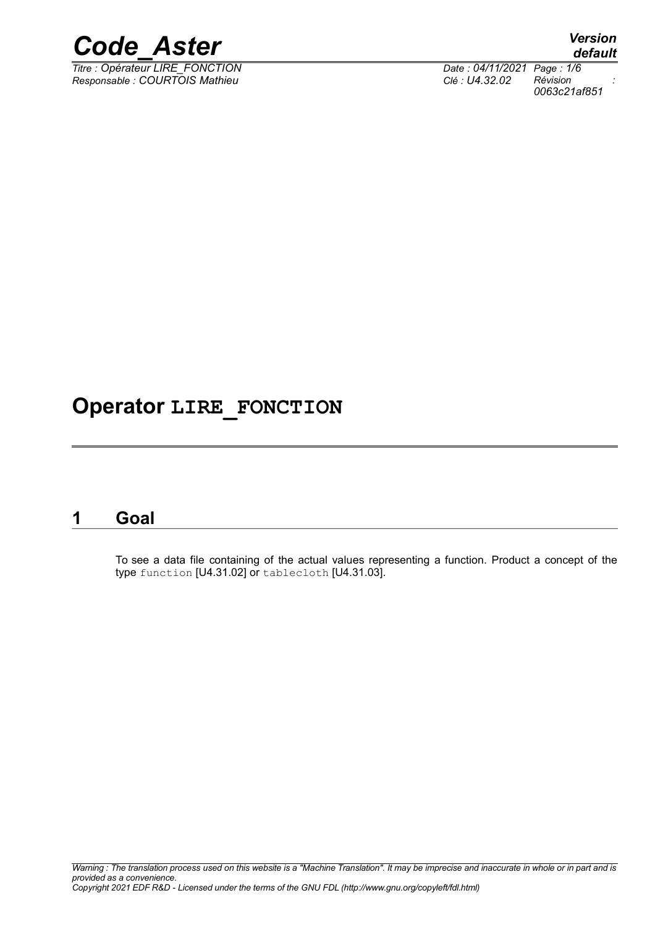

*Titre : Opérateur LIRE\_FONCTION Date : 04/11/2021 Page : 1/6 Responsable : COURTOIS Mathieu Clé : U4.32.02 Révision :*

*default 0063c21af851*

# **Operator LIRE\_FONCTION**

### **1 Goal**

To see a data file containing of the actual values representing a function. Product a concept of the type function [U4.31.02] or tablecloth [U4.31.03].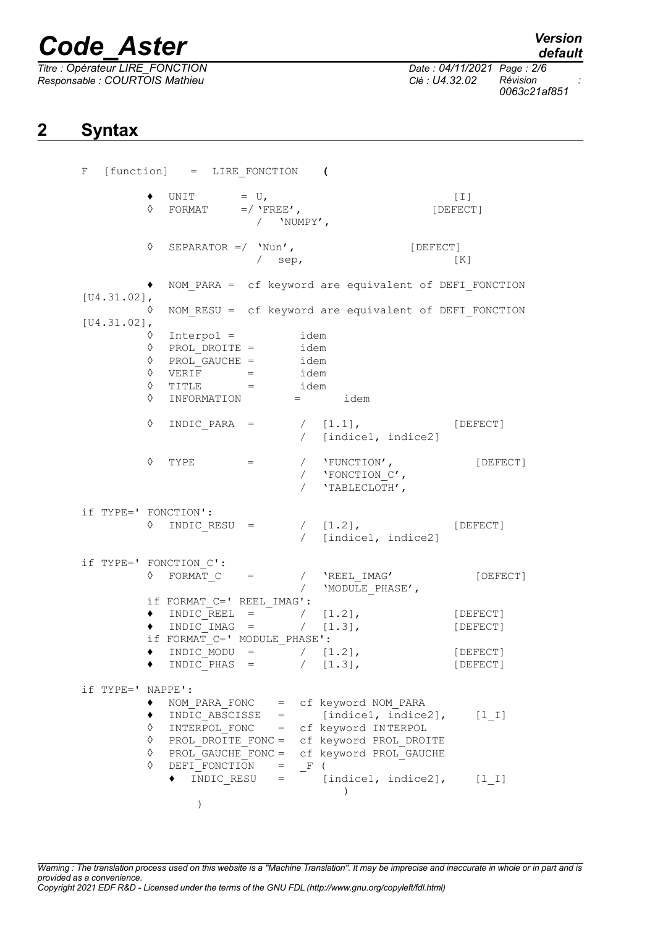*Titre : Opérateur LIRE\_FONCTION Date : 04/11/2021 Page : 2/6 Responsable : COURTOIS Mathieu Clé : U4.32.02 Révision :*

*default*

*0063c21af851*

# **2 Syntax**

| [function] = LIRE FONCTION (<br>F |               |                                                                                                                                                                                                                                                                                                  |                         |                                                                                                                                                                               |                      |   |               |      |   |         |      |              |          |  |
|-----------------------------------|---------------|--------------------------------------------------------------------------------------------------------------------------------------------------------------------------------------------------------------------------------------------------------------------------------------------------|-------------------------|-------------------------------------------------------------------------------------------------------------------------------------------------------------------------------|----------------------|---|---------------|------|---|---------|------|--------------|----------|--|
|                                   |               | $\bullet$ UNIT = U,<br>$\Diamond$ FORMAT =/ 'FREE',                                                                                                                                                                                                                                              | / $'$ NUMPY',           |                                                                                                                                                                               | $[1]$<br>[DEFECT]    |   |               |      |   |         |      |              |          |  |
|                                   | ♦             | SEPARATOR $=$ 'Nun',                                                                                                                                                                                                                                                                             | $/$ sep,                | [DEFECT]                                                                                                                                                                      | [K]                  |   |               |      |   |         |      |              |          |  |
|                                   |               |                                                                                                                                                                                                                                                                                                  |                         | NOM PARA = cf keyword are equivalent of DEFI FONCTION                                                                                                                         |                      |   |               |      |   |         |      |              |          |  |
| $[U4.31.02]$ ,<br>$[U4.31.02]$ ,  | ♦             |                                                                                                                                                                                                                                                                                                  |                         | NOM RESU = cf keyword are equivalent of DEFI FONCTION                                                                                                                         |                      |   |               |      |   |         |      |              |          |  |
|                                   | ♦             | $\Diamond$ Interpol =<br><table>\n<tbody>\n<tr>\n<td>♦</td>\n<td>PROL_DROITE =</td>\n<td>idem</td>\n</tr>\n<tr>\n<td>♦</td>\n<td>PROL_GAUCHE =</td>\n<td>idem</td>\n</tr>\n<tr>\n<td>♦</td>\n<td>VERIF =</td>\n<td>idem</td>\n</tr>\n</tbody>\n</table><br>$TITLE = 1$<br>$\Diamond$ INFORMATION | ♦                       | PROL_DROITE =                                                                                                                                                                 | idem                 | ♦ | PROL_GAUCHE = | idem | ♦ | VERIF = | idem | idem<br>idem | $=$ idem |  |
| ♦                                 | PROL_DROITE = | idem                                                                                                                                                                                                                                                                                             |                         |                                                                                                                                                                               |                      |   |               |      |   |         |      |              |          |  |
| ♦                                 | PROL_GAUCHE = | idem                                                                                                                                                                                                                                                                                             |                         |                                                                                                                                                                               |                      |   |               |      |   |         |      |              |          |  |
| ♦                                 | VERIF =       | idem                                                                                                                                                                                                                                                                                             |                         |                                                                                                                                                                               |                      |   |               |      |   |         |      |              |          |  |
|                                   | ♦             |                                                                                                                                                                                                                                                                                                  |                         | INDIC PARA = $/$ [1.1], [DEFECT]<br>/ [indice1, indice2]                                                                                                                      |                      |   |               |      |   |         |      |              |          |  |
|                                   | ♦             | $TYPE$ =                                                                                                                                                                                                                                                                                         |                         | / 'FUNCTION',<br>/ $'$ FONCTION C',<br>/ $'$ TABLECLOTH',                                                                                                                     | [DEFECT]             |   |               |      |   |         |      |              |          |  |
| if TYPE=' FONCTION':              |               | $\Diamond$ INDIC RESU =                                                                                                                                                                                                                                                                          |                         | $(1.2)$ , $[DEFECT]$<br>/ [indice1, indice2]                                                                                                                                  |                      |   |               |      |   |         |      |              |          |  |
|                                   |               | if TYPE=' FONCTION C':                                                                                                                                                                                                                                                                           |                         | $\Diamond$ FORMAT C = / $'$ REEL IMAG'                                                                                                                                        | [DEFECT]             |   |               |      |   |         |      |              |          |  |
|                                   |               | if FORMAT C=' REEL IMAG':<br>$\bullet$ INDIC REEL = / [1.2],<br>$\bullet$ INDIC IMAG = $/$ [1.3],                                                                                                                                                                                                |                         | / 'MODULE PHASE',                                                                                                                                                             | [DEFECT]<br>[DEFECT] |   |               |      |   |         |      |              |          |  |
|                                   | $\bullet$     | if FORMAT C=' MODULE PHASE':<br>INDIC MODU = $/$ [1.2],<br>$INDIC PHAS =$                                                                                                                                                                                                                        |                         | $/$ [1.3],                                                                                                                                                                    | [DEFECT]<br>[DEFECT] |   |               |      |   |         |      |              |          |  |
| if TYPE=' NAPPE':                 | ٠<br>٠<br>♦   | INDIC ABSCISSE =<br>♦ INTERPOL FONC                                                                                                                                                                                                                                                              |                         | NOM PARA FONC = cf keyword NOM PARA<br>[indice1, indice2],<br>= cf keyword INTERPOL<br>PROL DROITE FONC = cf keyword PROL DROITE<br>PROL GAUCHE FONC = cf keyword PROL GAUCHE | $[1  I]$             |   |               |      |   |         |      |              |          |  |
|                                   | ♦             | DEFI FONCTION<br>INDIC RESU<br>$\lambda$                                                                                                                                                                                                                                                         | $=$ $\mathbb{F}$<br>$=$ | $\sqrt{2}$<br>[indice1, indice2],<br>$\lambda$                                                                                                                                | $[1  I]$             |   |               |      |   |         |      |              |          |  |

*Warning : The translation process used on this website is a "Machine Translation". It may be imprecise and inaccurate in whole or in part and is provided as a convenience. Copyright 2021 EDF R&D - Licensed under the terms of the GNU FDL (http://www.gnu.org/copyleft/fdl.html)*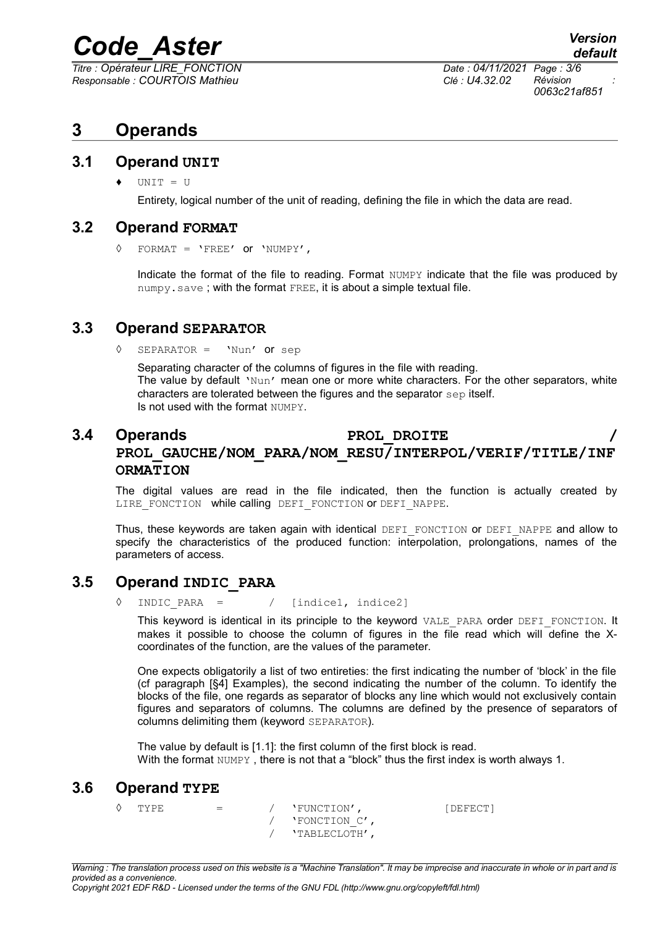*Titre : Opérateur LIRE\_FONCTION Date : 04/11/2021 Page : 3/6 Responsable : COURTOIS Mathieu Clé : U4.32.02 Révision :*

*0063c21af851*

## **3 Operands**

### **3.1 Operand UNIT**

 $UNIT = U$ 

Entirety, logical number of the unit of reading, defining the file in which the data are read.

#### **3.2 Operand FORMAT**

◊ FORMAT = 'FREE' or 'NUMPY',

Indicate the format of the file to reading. Format NUMPY indicate that the file was produced by numpy.save; with the format FREE, it is about a simple textual file.

### **3.3 Operand SEPARATOR**

◊ SEPARATOR = 'Nun' or sep

Separating character of the columns of figures in the file with reading. The value by default 'Nun' mean one or more white characters. For the other separators, white characters are tolerated between the figures and the separator sep itself. Is not used with the format NUMPY.

### **3.4 Operands PROL\_DROITE /** PROL\_GAUCHE/NOM\_PARA/NOM\_RESU/INTERPOL/VERIF/TITLE/INF **ORMATION**

The digital values are read in the file indicated, then the function is actually created by LIRE FONCTION while calling DEFI FONCTION OF DEFI\_NAPPE.

Thus, these keywords are taken again with identical DEFI\_FONCTION or DEFI\_NAPPE and allow to specify the characteristics of the produced function: interpolation, prolongations, names of the parameters of access.

### **3.5 Operand INDIC\_PARA**

 $INDIC$  PARA = / [indice1, indice2]

This keyword is identical in its principle to the keyword VALE\_PARA order DEFI\_FONCTION. It makes it possible to choose the column of figures in the file read which will define the Xcoordinates of the function, are the values of the parameter.

One expects obligatorily a list of two entireties: the first indicating the number of 'block' in the file (cf paragraph [§4] Examples), the second indicating the number of the column. To identify the blocks of the file, one regards as separator of blocks any line which would not exclusively contain figures and separators of columns. The columns are defined by the presence of separators of columns delimiting them (keyword SEPARATOR).

The value by default is [1.1]: the first column of the first block is read. With the format NUMPY , there is not that a "block" thus the first index is worth always 1.

### **3.6 Operand TYPE**

| TYPE. | $=$ | 'FUNCTION',   | [DEFECT] |
|-------|-----|---------------|----------|
|       |     | 'FONCTION C', |          |
|       |     | 'TABLECLOTH', |          |

*Copyright 2021 EDF R&D - Licensed under the terms of the GNU FDL (http://www.gnu.org/copyleft/fdl.html)*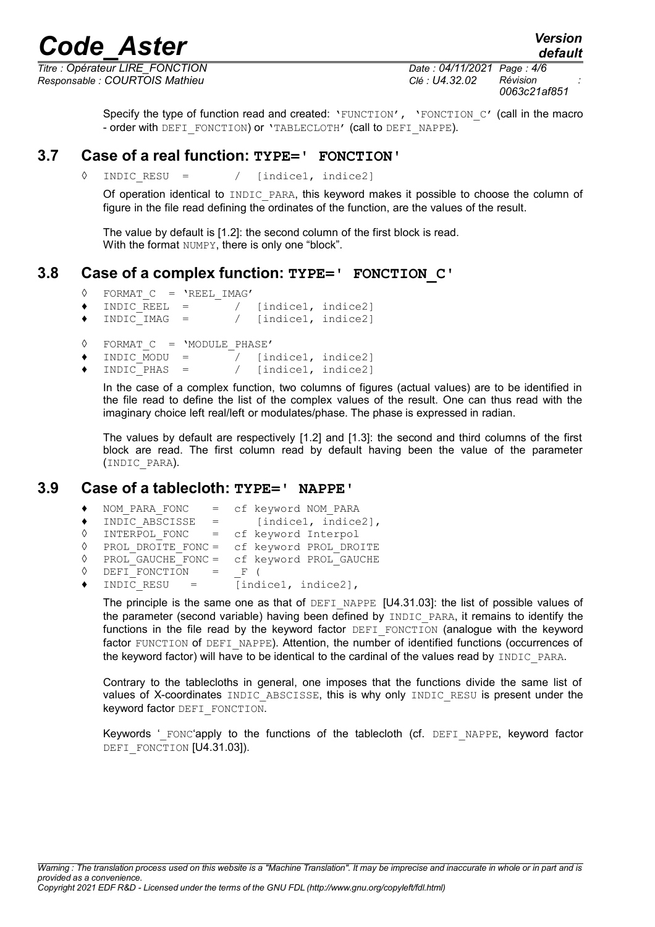*default*

*Titre : Opérateur LIRE\_FONCTION Date : 04/11/2021 Page : 4/6 Responsable : COURTOIS Mathieu Clé : U4.32.02 Révision :*

*0063c21af851*

Specify the type of function read and created: 'FUNCTION', 'FONCTION C' (call in the macro - order with DEFI FONCTION) or 'TABLECLOTH' (call to DEFI\_NAPPE).

### **3.7 Case of a real function: TYPE=' FONCTION'**

 $INDIC$  RESU = / [indice1, indice2]

Of operation identical to INDIC\_PARA, this keyword makes it possible to choose the column of figure in the file read defining the ordinates of the function, are the values of the result.

The value by default is [1.2]: the second column of the first block is read. With the format NUMPY, there is only one "block".

### **3.8 Case of a complex function: TYPE=' FONCTION\_C'**

- $\Diamond$  FORMAT<sub>\_</sub>C = 'REEL\_IMAG'<br>  $\blacklozenge$  INDIC REEL = /  $\bullet$  INDIC REEL = / [indice1, indice2]
- $\bullet$  INDIC IMAG = / [indice1, indice2]
- ◊ FORMAT\_C = 'MODULE\_PHASE'
- $\begin{array}{ll}\n\text{\textendash}}\n\begin{array}{ll}\n\text{INDIC MODU} & = & \begin{array}{l}\n\text{Indice1, indicate2}\n\end{array}\n\end{array}$
- $=$  / [indice1, indice2]

In the case of a complex function, two columns of figures (actual values) are to be identified in the file read to define the list of the complex values of the result. One can thus read with the imaginary choice left real/left or modulates/phase. The phase is expressed in radian.

The values by default are respectively [1.2] and [1.3]: the second and third columns of the first block are read. The first column read by default having been the value of the parameter (INDIC\_PARA).

#### **3.9 Case of a tablecloth: TYPE=' NAPPE'**

|   | NOM PARA FONC                              | = cf keyword NOM PARA  |
|---|--------------------------------------------|------------------------|
|   | $INDIC$ ABSCISSE $=$                       | [indice1, indice2],    |
|   | INTERPOL FONC<br>$\mathbf{r} = \mathbf{r}$ | cf keyword Interpol    |
| ♦ | PROL DROITE FONC =                         | cf keyword PROL DROITE |
|   | PROL GAUCHE FONC =                         | cf keyword PROL GAUCHE |
|   | DEFI FONCTION =                            | F.                     |
|   | $INDIC$ RESU =                             | [indice1, indice2],    |
|   |                                            |                        |

The principle is the same one as that of  $DEFI$  NAPPE  $[U4.31.03]$ : the list of possible values of the parameter (second variable) having been defined by INDIC PARA, it remains to identify the functions in the file read by the keyword factor DEFI\_FONCTION (analogue with the keyword factor FUNCTION of DEFI\_NAPPE). Attention, the number of identified functions (occurrences of the keyword factor) will have to be identical to the cardinal of the values read by INDIC\_PARA.

Contrary to the tablecloths in general, one imposes that the functions divide the same list of values of X-coordinates INDIC ABSCISSE, this is why only INDIC RESU is present under the keyword factor DEFI\_FONCTION.

Keywords '\_FONC'apply to the functions of the tablecloth (cf. DEFI\_NAPPE, keyword factor DEFI\_FONCTION [U4.31.03]).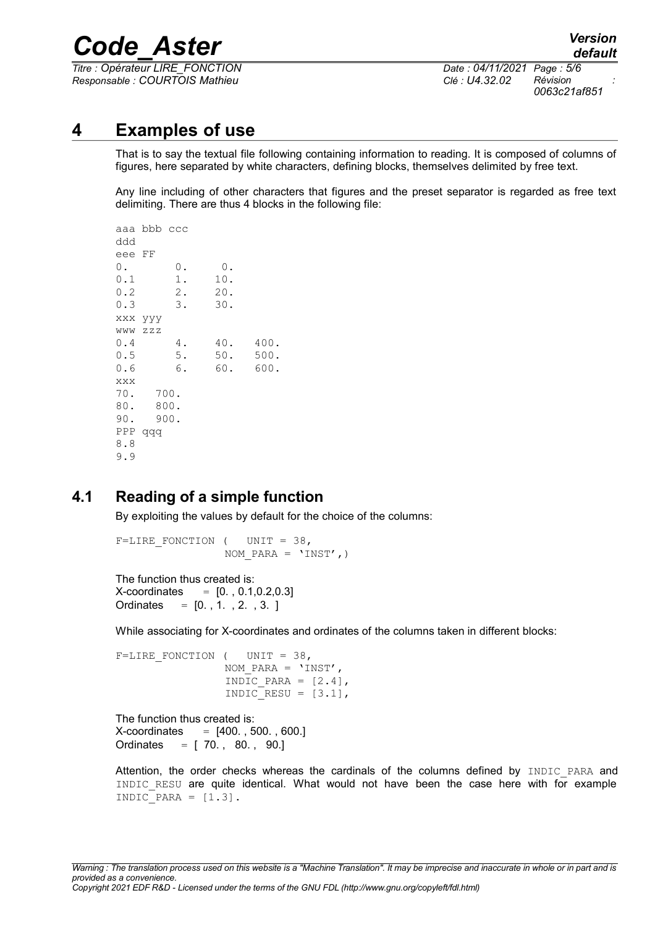*Titre : Opérateur LIRE\_FONCTION Date : 04/11/2021 Page : 5/6 Responsable : COURTOIS Mathieu Clé : U4.32.02 Révision :*

*0063c21af851*

### **4 Examples of use**

That is to say the textual file following containing information to reading. It is composed of columns of figures, here separated by white characters, defining blocks, themselves delimited by free text.

Any line including of other characters that figures and the preset separator is regarded as free text delimiting. There are thus 4 blocks in the following file:

```
aaa bbb ccc
ddd
eee FF
0. 0. 0.
\begin{array}{cccc} 0.1 & 1. & 10. \\ 0.2 & 2. & 20. \end{array}0.2 2. 20.
0.3 3. 30.
xxx yyy
www zzz
0.4 4. 40. 400.
0.5 5. 50. 500.
0.6 6. 60. 600.
xxx
70. 700.
80. 800.
90. 900.
PPP qqq
8.8
9.9
```
### **4.1 Reading of a simple function**

By exploiting the values by default for the choice of the columns:

F=LIRE FONCTION ( UNIT =  $38$ , NOM PARA =  $'INST',$ )

The function thus created is:  $X$ -coordinates =  $[0. , 0.1, 0.2, 0.3]$ Ordinates  $= [0, 1, 2, 3, 3, 1]$ 

While associating for X-coordinates and ordinates of the columns taken in different blocks:

F=LIRE FONCTION ( UNIT =  $38$ , NOM PARA =  $'INST'$ , INDIC PARA =  $[2.4]$ , INDIC RESU =  $[3.1]$ ,

The function thus created is:  $X$ -coordinates  $= [400, 500, 600]$ Ordinates = [ 70. , 80. , 90.]

Attention, the order checks whereas the cardinals of the columns defined by INDIC PARA and INDIC RESU are quite identical. What would not have been the case here with for example INDIC PARA =  $[1.3]$ .